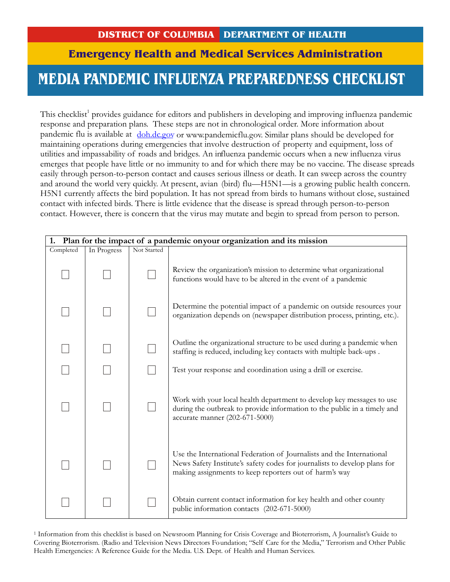## **DISTRICT OF COLUMBIA DEPARTMENT OF HEALTH**

## **Emergency Health and Medical Services Administration**

## **IFLUENZA PREPAREI MEDIA PANDEMIC INFLUENZA PREPAREDNESS CHECKLIST**

This checklist<sup>1</sup> provides guidance for editors and publishers in developing and improving influenza pandemic response and preparation plans. These steps are not in chronological order. More information about pandemic flu is available at doh.dc.gov or www.pandemicflu.gov. Similar plans should be developed for maintaining operations during emergencies that involve destruction of property and equipment, loss of utilities and impassability of roads and bridges. An influenza pandemic occurs when a new influenza virus emerges that people have little or no immunity to and for which there may be no vaccine. The disease spreads easily through person-to-person contact and causes serious illness or death. It can sweep across the country and around the world very quickly. At present, avian (bird) flu—H5N1—is a growing public health concern. H5N1 currently affects the bird population. It has not spread from birds to humans without close, sustained contact with infected birds. There is little evidence that the disease is spread through person-to-person contact. However, there is concern that the virus may mutate and begin to spread from person to person.

| Plan for the impact of a pandemic onyour organization and its mission<br>1. |             |             |                                                                                                                                                                                                              |  |  |  |  |
|-----------------------------------------------------------------------------|-------------|-------------|--------------------------------------------------------------------------------------------------------------------------------------------------------------------------------------------------------------|--|--|--|--|
| Completed                                                                   | In Progress | Not Started |                                                                                                                                                                                                              |  |  |  |  |
|                                                                             |             |             | Review the organization's mission to determine what organizational<br>functions would have to be altered in the event of a pandemic                                                                          |  |  |  |  |
|                                                                             |             |             | Determine the potential impact of a pandemic on outside resources your<br>organization depends on (newspaper distribution process, printing, etc.).                                                          |  |  |  |  |
|                                                                             |             |             | Outline the organizational structure to be used during a pandemic when<br>staffing is reduced, including key contacts with multiple back-ups.                                                                |  |  |  |  |
|                                                                             |             |             | Test your response and coordination using a drill or exercise.                                                                                                                                               |  |  |  |  |
|                                                                             |             |             | Work with your local health department to develop key messages to use<br>during the outbreak to provide information to the public in a timely and<br>accurate manner (202-671-5000)                          |  |  |  |  |
|                                                                             |             |             | Use the International Federation of Journalists and the International<br>News Safety Institute's safety codes for journalists to develop plans for<br>making assignments to keep reporters out of harm's way |  |  |  |  |
|                                                                             |             |             | Obtain current contact information for key health and other county<br>public information contacts (202-671-5000)                                                                                             |  |  |  |  |

<sup>1</sup> Information from this checklist is based on Newsroom Planning for Crisis Coverage and Bioterrorism, A Journalist's Guide to Covering Bioterrorism. (Radio and Television News Directors Foundation; "Self Care for the Media," Terrorism and Other Public Health Emergencies: A Reference Guide for the Media. U.S. Dept. of Health and Human Services.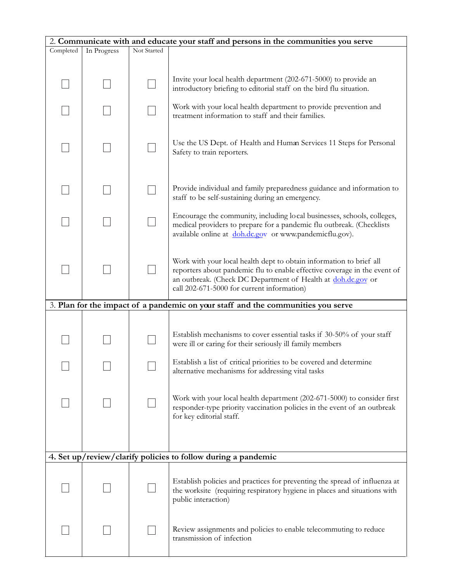| 2. Communicate with and educate your staff and persons in the communities you serve |             |             |                                                                                                                                                                                                                                                                |  |  |  |
|-------------------------------------------------------------------------------------|-------------|-------------|----------------------------------------------------------------------------------------------------------------------------------------------------------------------------------------------------------------------------------------------------------------|--|--|--|
| Completed                                                                           | In Progress | Not Started |                                                                                                                                                                                                                                                                |  |  |  |
|                                                                                     |             |             |                                                                                                                                                                                                                                                                |  |  |  |
|                                                                                     |             |             | Invite your local health department (202-671-5000) to provide an<br>introductory briefing to editorial staff on the bird flu situation.                                                                                                                        |  |  |  |
|                                                                                     |             |             | Work with your local health department to provide prevention and<br>treatment information to staff and their families.                                                                                                                                         |  |  |  |
|                                                                                     |             |             | Use the US Dept. of Health and Human Services 11 Steps for Personal<br>Safety to train reporters.                                                                                                                                                              |  |  |  |
|                                                                                     |             |             | Provide individual and family preparedness guidance and information to<br>staff to be self-sustaining during an emergency.                                                                                                                                     |  |  |  |
|                                                                                     |             |             | Encourage the community, including local businesses, schools, colleges,<br>medical providers to prepare for a pandemic flu outbreak. (Checklists<br>available online at doh.dc.gov or www.pandemicflu.gov).                                                    |  |  |  |
|                                                                                     |             |             | Work with your local health dept to obtain information to brief all<br>reporters about pandemic flu to enable effective coverage in the event of<br>an outbreak. (Check DC Department of Health at doh.dc.gov or<br>call 202-671-5000 for current information) |  |  |  |
|                                                                                     |             |             | 3. Plan for the impact of a pandemic on your staff and the communities you serve                                                                                                                                                                               |  |  |  |
|                                                                                     |             |             |                                                                                                                                                                                                                                                                |  |  |  |
|                                                                                     |             |             | Establish mechanisms to cover essential tasks if 30-50% of your staff<br>were ill or caring for their seriously ill family members                                                                                                                             |  |  |  |
|                                                                                     |             |             | Establish a list of critical priorities to be covered and determine<br>alternative mechanisms for addressing vital tasks                                                                                                                                       |  |  |  |
|                                                                                     |             |             | Work with your local health department (202-671-5000) to consider first<br>responder-type priority vaccination policies in the event of an outbreak<br>for key editorial staff.                                                                                |  |  |  |
|                                                                                     |             |             |                                                                                                                                                                                                                                                                |  |  |  |
|                                                                                     |             |             | 4. Set up/review/clarify policies to follow during a pandemic                                                                                                                                                                                                  |  |  |  |
|                                                                                     |             |             | Establish policies and practices for preventing the spread of influenza at<br>the worksite (requiring respiratory hygiene in places and situations with<br>public interaction)                                                                                 |  |  |  |
|                                                                                     |             |             | Review assignments and policies to enable telecommuting to reduce<br>transmission of infection                                                                                                                                                                 |  |  |  |